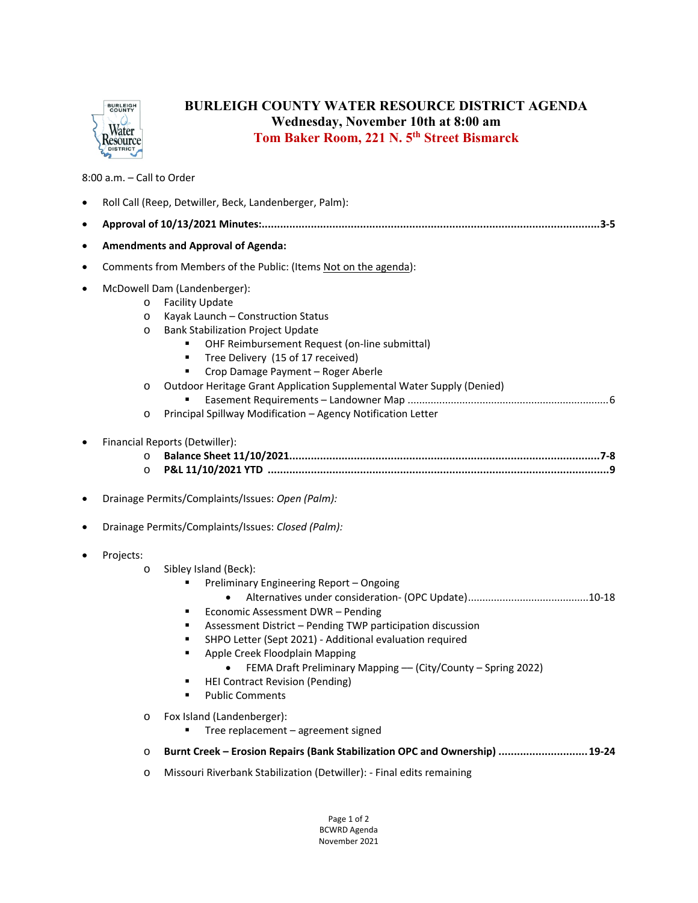

## **BURLEIGH COUNTY WATER RESOURCE DISTRICT AGENDA Wednesday, November 10th at 8:00 am Tom Baker Room, 221 N. 5th Street Bismarck**

8:00 a.m. – Call to Order

| $\bullet$ | Roll Call (Reep, Detwiller, Beck, Landenberger, Palm):                                                                                                                                                                                                                                                                                                                                                                                                                                                                             |
|-----------|------------------------------------------------------------------------------------------------------------------------------------------------------------------------------------------------------------------------------------------------------------------------------------------------------------------------------------------------------------------------------------------------------------------------------------------------------------------------------------------------------------------------------------|
| ٠         |                                                                                                                                                                                                                                                                                                                                                                                                                                                                                                                                    |
| $\bullet$ | <b>Amendments and Approval of Agenda:</b>                                                                                                                                                                                                                                                                                                                                                                                                                                                                                          |
| $\bullet$ | Comments from Members of the Public: (Items Not on the agenda):                                                                                                                                                                                                                                                                                                                                                                                                                                                                    |
| $\bullet$ | McDowell Dam (Landenberger):<br><b>Facility Update</b><br>$\circ$<br>Kayak Launch - Construction Status<br>$\circ$<br><b>Bank Stabilization Project Update</b><br>$\circ$<br>OHF Reimbursement Request (on-line submittal)<br>Tree Delivery (15 of 17 received)<br>٠<br>Crop Damage Payment - Roger Aberle<br>Outdoor Heritage Grant Application Supplemental Water Supply (Denied)<br>$\circ$<br>Principal Spillway Modification - Agency Notification Letter<br>$\circ$                                                          |
| ٠         | Financial Reports (Detwiller):<br>$\circ$<br>$\circ$<br>Drainage Permits/Complaints/Issues: Open (Palm):                                                                                                                                                                                                                                                                                                                                                                                                                           |
| ٠         | Drainage Permits/Complaints/Issues: Closed (Palm):                                                                                                                                                                                                                                                                                                                                                                                                                                                                                 |
| $\bullet$ | Projects:<br>Sibley Island (Beck):<br>$\circ$<br>Preliminary Engineering Report - Ongoing<br>Economic Assessment DWR - Pending<br>٠<br>Assessment District - Pending TWP participation discussion<br>٠<br>SHPO Letter (Sept 2021) - Additional evaluation required<br>٠<br>Apple Creek Floodplain Mapping<br>٠<br>FEMA Draft Preliminary Mapping - (City/County - Spring 2022)<br><b>HEI Contract Revision (Pending)</b><br><b>Public Comments</b><br>Fox Island (Landenberger):<br>$\circ$<br>Tree replacement - agreement signed |
|           | Burnt Creek - Erosion Repairs (Bank Stabilization OPC and Ownership)  19-24<br>$\circ$                                                                                                                                                                                                                                                                                                                                                                                                                                             |
|           | Missouri Riverbank Stabilization (Detwiller): - Final edits remaining<br>$\circ$                                                                                                                                                                                                                                                                                                                                                                                                                                                   |